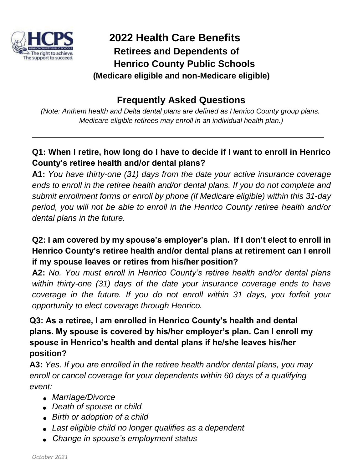

# **2022 Health Care Benefits Retirees and Dependents of Henrico County Public Schools (Medicare eligible and non-Medicare eligible)**

# **Frequently Asked Questions**

*(Note: Anthem health and Delta dental plans are defined as Henrico County group plans. Medicare eligible retirees may enroll in an individual health plan.)*

# **Q1: When I retire, how long do I have to decide if I want to enroll in Henrico County's retiree health and/or dental plans?**

**A1:** *You have thirty-one (31) days from the date your active insurance coverage ends to enroll in the retiree health and/or dental plans. If you do not complete and submit enrollment forms or enroll by phone (if Medicare eligible) within this 31-day period, you will not be able to enroll in the Henrico County retiree health and/or dental plans in the future.*

# **Q2: I am covered by my spouse's employer's plan. If I don't elect to enroll in Henrico County's retiree health and/or dental plans at retirement can I enroll if my spouse leaves or retires from his/her position?**

**A2:** *No. You must enroll in Henrico County's retiree health and/or dental plans within thirty-one (31) days of the date your insurance coverage ends to have coverage in the future. If you do not enroll within 31 days, you forfeit your opportunity to elect coverage through Henrico.*

# **Q3: As a retiree, I am enrolled in Henrico County's health and dental plans. My spouse is covered by his/her employer's plan. Can I enroll my spouse in Henrico's health and dental plans if he/she leaves his/her position?**

**A3:** *Yes. If you are enrolled in the retiree health and/or dental plans, you may enroll or cancel coverage for your dependents within 60 days of a qualifying event:*

- *Marriage/Divorce*
- *Death of spouse or child*
- *Birth or adoption of a child*
- *Last eligible child no longer qualifies as a dependent*
- *Change in spouse's employment status*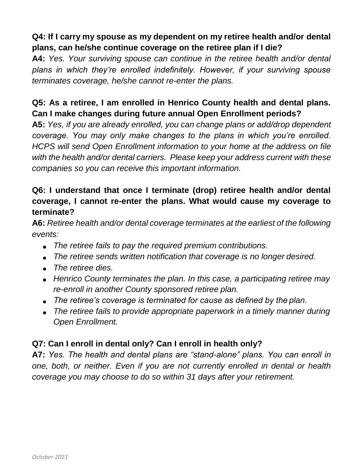# **Q4: If I carry my spouse as my dependent on my retiree health and/or dental plans, can he/she continue coverage on the retiree plan if I die?**

**A4:** *Yes. Your surviving spouse can continue in the retiree health and/or dental plans in which they're enrolled indefinitely. However, if your surviving spouse terminates coverage, he/she cannot re-enter the plans.*

# **Q5: As a retiree, I am enrolled in Henrico County health and dental plans. Can I make changes during future annual Open Enrollment periods?**

**A5:** *Yes, if you are already enrolled, you can change plans or add/drop dependent coverage. You may only make changes to the plans in which you're enrolled. HCPS will send Open Enrollment information to your home at the address on file with the health and/or dental carriers. Please keep your address current with these companies so you can receive this important information.*

#### **Q6: I understand that once I terminate (drop) retiree health and/or dental coverage, I cannot re-enter the plans. What would cause my coverage to terminate?**

**A6:** *Retiree health and/or dental coverage terminates at the earliest of the following events:*

- *The retiree fails to pay the required premium contributions.*
- *The retiree sends written notification that coverage is no longer desired.*
- *The retiree dies.*
- *Henrico County terminates the plan. In this case, a participating retiree may re-enroll in another County sponsored retiree plan.*
- *The retiree's coverage is terminated for cause as defined by the plan.*
- *The retiree fails to provide appropriate paperwork in a timely manner during Open Enrollment.*

#### **Q7: Can I enroll in dental only? Can I enroll in health only?**

**A7:** *Yes. The health and dental plans are "stand-alone" plans. You can enroll in one, both, or neither. Even if you are not currently enrolled in dental or health coverage you may choose to do so within 31 days after your retirement.*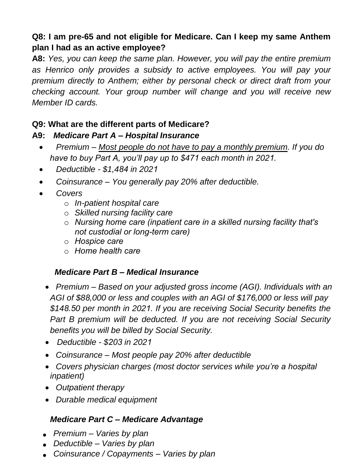# **Q8: I am pre-65 and not eligible for Medicare. Can I keep my same Anthem plan I had as an active employee?**

**A8:** *Yes, you can keep the same plan. However, you will pay the entire premium as Henrico only provides a subsidy to active employees. You will pay your premium directly to Anthem; either by personal check or direct draft from your checking account. Your group number will change and you will receive new Member ID cards.*

#### **Q9: What are the different parts of Medicare?**

#### **A9:** *Medicare Part A – Hospital Insurance*

- *Premium – Most people do not have to pay a monthly premium. If you do have to buy Part A, you'll pay up to \$471 each month in 2021.*
- *Deductible \$1,484 in 2021*
- *Coinsurance – You generally pay 20% after deductible.*
- *Covers*
	- o *In-patient hospital care*
	- o *Skilled nursing facility care*
	- o *Nursing home care (inpatient care in a skilled nursing facility that's not custodial or long-term care)*
	- o *Hospice care*
	- o *Home health care*

#### *Medicare Part B – Medical Insurance*

- *Premium – Based on your adjusted gross income (AGI). Individuals with an AGI of \$88,000 or less and couples with an AGI of \$176,000 or less will pay \$148.50 per month in 2021. If you are receiving Social Security benefits the Part B premium will be deducted. If you are not receiving Social Security benefits you will be billed by Social Security.*
- *Deductible \$203 in 2021*
- *Coinsurance – Most people pay 20% after deductible*
- *Covers physician charges (most doctor services while you're a hospital inpatient)*
- *Outpatient therapy*
- *Durable medical equipment*

#### *Medicare Part C – Medicare Advantage*

- *Premium – Varies by plan*
- *Deductible – Varies by plan*
- *Coinsurance / Copayments – Varies by plan*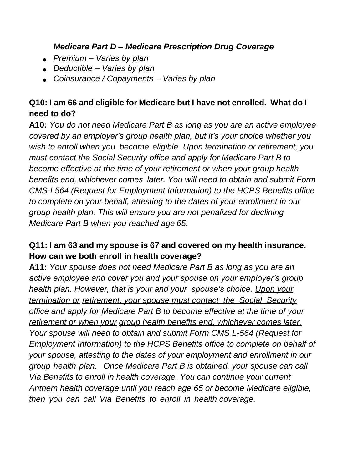#### *Medicare Part D – Medicare Prescription Drug Coverage*

- *Premium – Varies by plan*
- *Deductible – Varies by plan*
- *Coinsurance / Copayments – Varies by plan*

# **Q10: I am 66 and eligible for Medicare but I have not enrolled. What do I need to do?**

**A10:** *You do not need Medicare Part B as long as you are an active employee covered by an employer's group health plan, but it's your choice whether you wish to enroll when you become eligible. Upon termination or retirement, you must contact the Social Security office and apply for Medicare Part B to become effective at the time of your retirement or when your group health benefits end, whichever comes later. You will need to obtain and submit Form CMS-L564 (Request for Employment Information) to the HCPS Benefits office to complete on your behalf, attesting to the dates of your enrollment in our group health plan. This will ensure you are not penalized for declining Medicare Part B when you reached age 65.*

# **Q11: I am 63 and my spouse is 67 and covered on my health insurance. How can we both enroll in health coverage?**

**A11:** *Your spouse does not need Medicare Part B as long as you are an active employee and cover you and your spouse on your employer's group health plan. However, that is your and your spouse's choice. Upon your termination or retirement, your spouse must contact the Social Security office and apply for Medicare Part B to become effective at the time of your retirement or when your group health benefits end, whichever comes later. Your spouse will need to obtain and submit Form CMS L-564 (Request for Employment Information) to the HCPS Benefits office to complete on behalf of your spouse, attesting to the dates of your employment and enrollment in our group health plan. Once Medicare Part B is obtained, your spouse can call Via Benefits to enroll in health coverage. You can continue your current Anthem health coverage until you reach age 65 or become Medicare eligible, then you can call Via Benefits to enroll in health coverage.*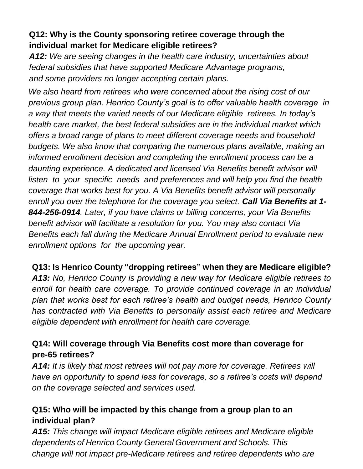# **Q12: Why is the County sponsoring retiree coverage through the individual market for Medicare eligible retirees?**

*A12: We are seeing changes in the health care industry, uncertainties about federal subsidies that have supported Medicare Advantage programs, and some providers no longer accepting certain plans.*

*We also heard from retirees who were concerned about the rising cost of our previous group plan. Henrico County's goal is to offer valuable health coverage in a way that meets the varied needs of our Medicare eligible retirees. In today's health care market, the best federal subsidies are in the individual market which offers a broad range of plans to meet different coverage needs and household budgets. We also know that comparing the numerous plans available, making an informed enrollment decision and completing the enrollment process can be a daunting experience. A dedicated and licensed Via Benefits benefit advisor will listen to your specific needs and preferences and will help you find the health coverage that works best for you. A Via Benefits benefit advisor will personally enroll you over the telephone for the coverage you select. Call Via Benefits at 1- 844-256-0914. Later, if you have claims or billing concerns, your Via Benefits benefit advisor will facilitate a resolution for you. You may also contact Via Benefits each fall during the Medicare Annual Enrollment period to evaluate new enrollment options for the upcoming year.*

#### **Q13: Is Henrico County "dropping retirees" when they are Medicare eligible?**

*A13: No, Henrico County is providing a new way for Medicare eligible retirees to enroll for health care coverage. To provide continued coverage in an individual plan that works best for each retiree's health and budget needs, Henrico County has contracted with Via Benefits to personally assist each retiree and Medicare eligible dependent with enrollment for health care coverage.*

#### **Q14: Will coverage through Via Benefits cost more than coverage for pre-65 retirees?**

*A14: It is likely that most retirees will not pay more for coverage. Retirees will have an opportunity to spend less for coverage, so a retiree's costs will depend on the coverage selected and services used.*

#### **Q15: Who will be impacted by this change from a group plan to an individual plan?**

*A15: This change will impact Medicare eligible retirees and Medicare eligible dependents of Henrico County General Government and Schools. This change will not impact pre-Medicare retirees and retiree dependents who are*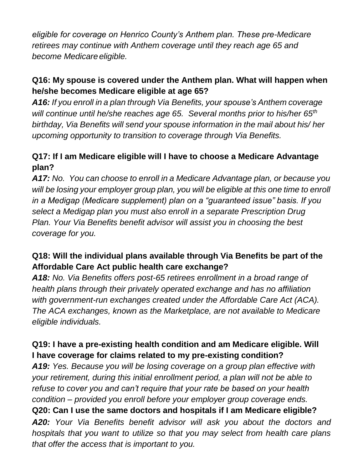*eligible for coverage on Henrico County's Anthem plan. These pre-Medicare retirees may continue with Anthem coverage until they reach age 65 and become Medicare eligible.*

# **Q16: My spouse is covered under the Anthem plan. What will happen when he/she becomes Medicare eligible at age 65?**

*A16: If you enroll in a plan through Via Benefits, your spouse's Anthem coverage will continue until he/she reaches age 65. Several months prior to his/her 65th birthday, Via Benefits will send your spouse information in the mail about his/ her upcoming opportunity to transition to coverage through Via Benefits.*

# **Q17: If I am Medicare eligible will I have to choose a Medicare Advantage plan?**

*A17: No. You can choose to enroll in a Medicare Advantage plan, or because you will be losing your employer group plan, you will be eligible at this one time to enroll in a Medigap (Medicare supplement) plan on a "guaranteed issue" basis. If you select a Medigap plan you must also enroll in a separate Prescription Drug Plan. Your Via Benefits benefit advisor will assist you in choosing the best coverage for you.*

# **Q18: Will the individual plans available through Via Benefits be part of the Affordable Care Act public health care exchange?**

*A18: No. Via Benefits offers post-65 retirees enrollment in a broad range of health plans through their privately operated exchange and has no affiliation with government-run exchanges created under the Affordable Care Act (ACA). The ACA exchanges, known as the Marketplace, are not available to Medicare eligible individuals.*

# **Q19: I have a pre-existing health condition and am Medicare eligible. Will I have coverage for claims related to my pre-existing condition?**

*A19: Yes. Because you will be losing coverage on a group plan effective with your retirement, during this initial enrollment period, a plan will not be able to refuse to cover you and can't require that your rate be based on your health condition – provided you enroll before your employer group coverage ends.* **Q20: Can I use the same doctors and hospitals if I am Medicare eligible?** *A20: Your Via Benefits benefit advisor will ask you about the doctors and hospitals that you want to utilize so that you may select from health care plans that offer the access that is important to you.*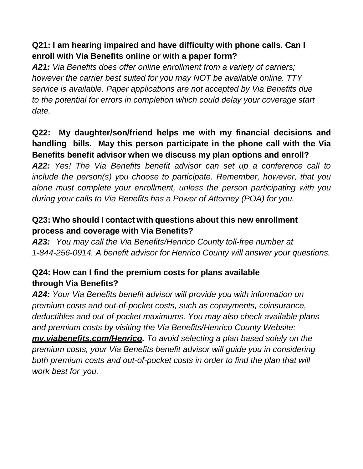# **Q21: I am hearing impaired and have difficulty with phone calls. Can I enroll with Via Benefits online or with a paper form?**

*A21: Via Benefits does offer online enrollment from a variety of carriers; however the carrier best suited for you may NOT be available online. TTY service is available. Paper applications are not accepted by Via Benefits due*  to the potential for errors in completion which could delay your coverage start *date.*

# **Q22: My daughter/son/friend helps me with my financial decisions and handling bills. May this person participate in the phone call with the Via Benefits benefit advisor when we discuss my plan options and enroll?**

*A22: Yes! The Via Benefits benefit advisor can set up a conference call to include the person(s) you choose to participate. Remember, however, that you alone must complete your enrollment, unless the person participating with you during your calls to Via Benefits has a Power of Attorney (POA) for you.*

# **Q23: Who should I contact with questions about this new enrollment process and coverage with Via Benefits?**

*A23: You may call the Via Benefits/Henrico County toll-free number at 1-844-256-0914. A benefit advisor for Henrico County will answer your questions.*

# **Q24: How can I find the premium costs for plans available through Via Benefits?**

*A24: Your Via Benefits benefit advisor will provide you with information on premium costs and out-of-pocket costs, such as copayments, coinsurance, deductibles and out-of-pocket maximums. You may also check available plans and premium costs by visiting the Via Benefits/Henrico County Website: my.viabenefits.com/Henrico. To avoid selecting a plan based solely on the premium costs, your Via Benefits benefit advisor will guide you in considering both premium costs and out-of-pocket costs in order to find the plan that will work best for you.*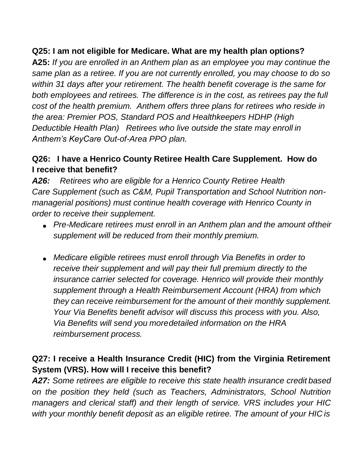# **Q25: I am not eligible for Medicare. What are my health plan options?**

**A25:** *If you are enrolled in an Anthem plan as an employee you may continue the same plan as a retiree. If you are not currently enrolled, you may choose to do so within 31 days after your retirement. The health benefit coverage is the same for both employees and retirees. The difference is in the cost, as retirees pay the full cost of the health premium. Anthem offers three plans for retirees who reside in the area: Premier POS, Standard POS and Healthkeepers HDHP (High Deductible Health Plan) Retirees who live outside the state may enroll in Anthem's KeyCare Out-of-Area PPO plan.*

### **Q26: I have a Henrico County Retiree Health Care Supplement. How do I receive that benefit?**

*A26: Retirees who are eligible for a Henrico County Retiree Health Care Supplement (such as C&M, Pupil Transportation and School Nutrition nonmanagerial positions) must continue health coverage with Henrico County in order to receive their supplement.*

- *Pre-Medicare retirees must enroll in an Anthem plan and the amount oftheir supplement will be reduced from their monthly premium.*
- *Medicare eligible retirees must enroll through Via Benefits in order to receive their supplement and will pay their full premium directly to the insurance carrier selected for coverage. Henrico will provide their monthly supplement through a Health Reimbursement Account (HRA) from which they can receive reimbursement for the amount of their monthly supplement. Your Via Benefits benefit advisor will discuss this process with you. Also, Via Benefits will send you moredetailed information on the HRA reimbursement process.*

# **Q27: I receive a Health Insurance Credit (HIC) from the Virginia Retirement System (VRS). How will I receive this benefit?**

*A27: Some retirees are eligible to receive this state health insurance credit based on the position they held (such as Teachers, Administrators, School Nutrition managers and clerical staff) and their length of service. VRS includes your HIC with your monthly benefit deposit as an eligible retiree. The amount of your HIC is*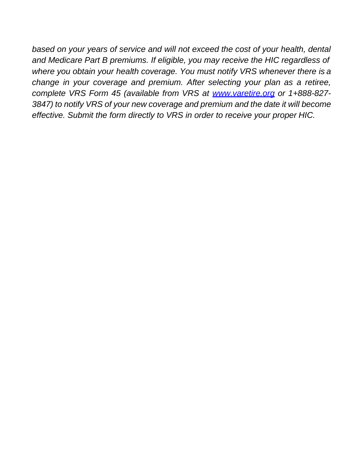*based on your years of service and will not exceed the cost of your health, dental and Medicare Part B premiums. If eligible, you may receive the HIC regardless of where you obtain your health coverage. You must notify VRS whenever there is a change in your coverage and premium. After selecting your plan as a retiree, complete VRS Form 45 (available from VRS at [www.varetire.org](http://www.varetire.org/) or 1+888-827- 3847) to notify VRS of your new coverage and premium and the date it will become effective. Submit the form directly to VRS in order to receive your proper HIC.*